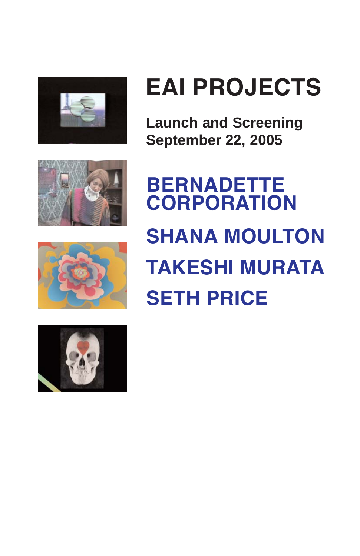







**Launch and Screening September 22, 2005**

**BERNADETTE CORPORATION SHANA MOULTON TAKESHI MURATA SETH PRICE**

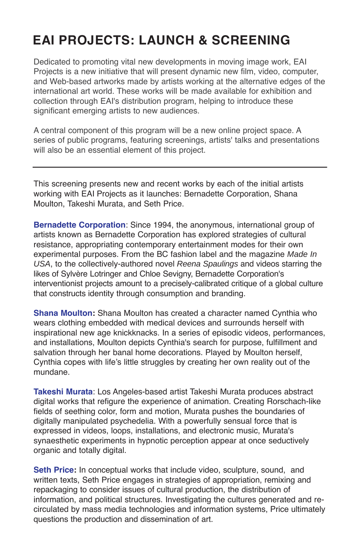# **EAI PROJECTS: LAUNCH & SCREENING**

Dedicated to promoting vital new developments in moving image work, EAI Projects is a new initiative that will present dynamic new film, video, computer, and Web-based artworks made by artists working at the alternative edges of the international art world. These works will be made available for exhibition and collection through EAI's distribution program, helping to introduce these significant emerging artists to new audiences.

A central component of this program will be a new online project space. A series of public programs, featuring screenings, artists' talks and presentations will also be an essential element of this project.

This screening presents new and recent works by each of the initial artists working with EAI Projects as it launches: Bernadette Corporation, Shana Moulton, Takeshi Murata, and Seth Price.

**Bernadette Corporation**: Since 1994, the anonymous, international group of artists known as Bernadette Corporation has explored strategies of cultural resistance, appropriating contemporary entertainment modes for their own experimental purposes. From the BC fashion label and the magazine *Made In USA*, to the collectively-authored novel *Reena Spaulings* and videos starring the likes of Sylvère Lotringer and Chloe Sevigny, Bernadette Corporation's interventionist projects amount to a precisely-calibrated critique of a global culture that constructs identity through consumption and branding.

**Shana Moulton:** Shana Moulton has created a character named Cynthia who wears clothing embedded with medical devices and surrounds herself with inspirational new age knickknacks. In a series of episodic videos, performances, and installations, Moulton depicts Cynthia's search for purpose, fulfillment and salvation through her banal home decorations. Played by Moulton herself, Cynthia copes with life's little struggles by creating her own reality out of the mundane.

**Takeshi Murata**: Los Angeles-based artist Takeshi Murata produces abstract digital works that refigure the experience of animation. Creating Rorschach-like fields of seething color, form and motion, Murata pushes the boundaries of digitally manipulated psychedelia. With a powerfully sensual force that is expressed in videos, loops, installations, and electronic music, Murata's synaesthetic experiments in hypnotic perception appear at once seductively organic and totally digital.

**Seth Price:** In conceptual works that include video, sculpture, sound, and written texts, Seth Price engages in strategies of appropriation, remixing and repackaging to consider issues of cultural production, the distribution of information, and political structures. Investigating the cultures generated and recirculated by mass media technologies and information systems, Price ultimately questions the production and dissemination of art.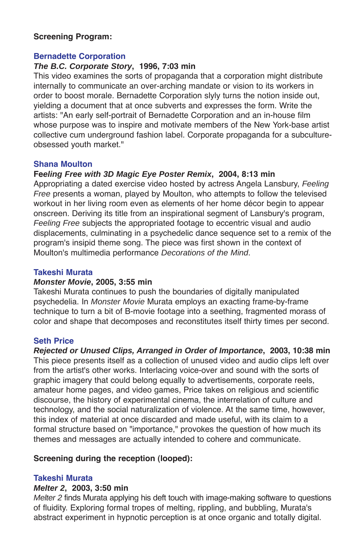#### **Screening Program:**

#### **Bernadette Corporation**

#### *The B.C. Corporate Story***, 1996, 7:03 min**

This video examines the sorts of propaganda that a corporation might distribute internally to communicate an over-arching mandate or vision to its workers in order to boost morale. Bernadette Corporation slyly turns the notion inside out, yielding a document that at once subverts and expresses the form. Write the artists: "An early self-portrait of Bernadette Corporation and an in-house film whose purpose was to inspire and motivate members of the New York-base artist collective cum underground fashion label. Corporate propaganda for a subcultureobsessed youth market."

#### **Shana Moulton**

### **Fe***eling Free with 3D Magic Eye Poster Remix***, 2004, 8:13 min**

Appropriating a dated exercise video hosted by actress Angela Lansbury, *Feeling Free* presents a woman, played by Moulton, who attempts to follow the televised workout in her living room even as elements of her home décor begin to appear onscreen. Deriving its title from an inspirational segment of Lansbury's program, *Feeling Free* subjects the appropriated footage to eccentric visual and audio displacements, culminating in a psychedelic dance sequence set to a remix of the program's insipid theme song. The piece was first shown in the context of Moulton's multimedia performance *Decorations of the Mind*.

#### **Takeshi Murata**

#### *Monster Movie***, 2005, 3:55 min**

Takeshi Murata continues to push the boundaries of digitally manipulated psychedelia. In *Monster Movie* Murata employs an exacting frame-by-frame technique to turn a bit of B-movie footage into a seething, fragmented morass of color and shape that decomposes and reconstitutes itself thirty times per second.

#### **Seth Price**

*Rejected or Unused Clips, Arranged in Order of Importance***, 2003, 10:38 min** This piece presents itself as a collection of unused video and audio clips left over from the artist's other works. Interlacing voice-over and sound with the sorts of graphic imagery that could belong equally to advertisements, corporate reels, amateur home pages, and video games, Price takes on religious and scientific discourse, the history of experimental cinema, the interrelation of culture and technology, and the social naturalization of violence. At the same time, however, this index of material at once discarded and made useful, with its claim to a formal structure based on "importance," provokes the question of how much its themes and messages are actually intended to cohere and communicate.

## **Screening during the reception (looped):**

#### **Takeshi Murata**

#### *Melter 2***, 2003, 3:50 min**

*Melter 2* finds Murata applying his deft touch with image-making software to questions of fluidity. Exploring formal tropes of melting, rippling, and bubbling, Murata's abstract experiment in hypnotic perception is at once organic and totally digital.